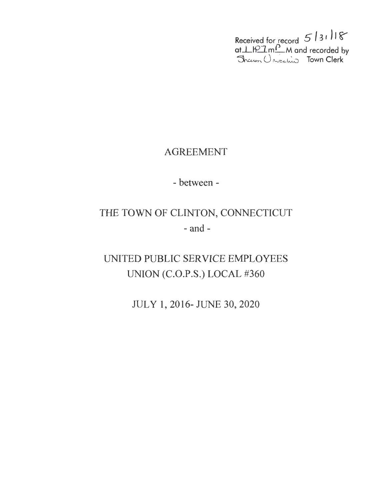Received for record 5 / 3 1 *JI* ls" at <u>I HP 7 mP</u> M and recorded by<br>Sharon U westing Town Clerk

# AGREEMENT

- between -

# THE TOWN OF CLINTON, CONNECTICUT - and-

UNITED PUBLIC SERVICE EMPLOYEES . UNION (C.O.P.S.) LOCAL #360

JULY 1, 2016- JUNE 30, 2020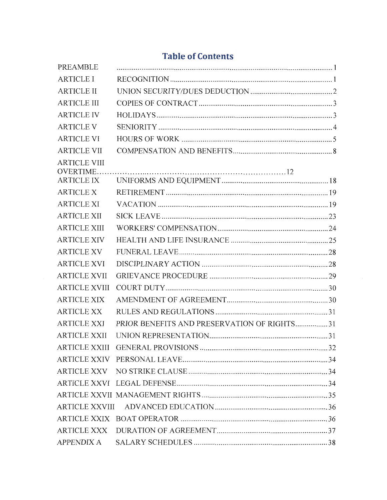# **Table of Contents**

| <b>PREAMBLE</b>                       |                                             |  |
|---------------------------------------|---------------------------------------------|--|
| <b>ARTICLE I</b>                      |                                             |  |
| <b>ARTICLE II</b>                     |                                             |  |
| <b>ARTICLE III</b>                    |                                             |  |
| <b>ARTICLE IV</b>                     |                                             |  |
| <b>ARTICLE V</b>                      |                                             |  |
| <b>ARTICLE VI</b>                     |                                             |  |
| <b>ARTICLE VII</b>                    |                                             |  |
| <b>ARTICLE VIII</b>                   |                                             |  |
| <b>OVERTIME.</b><br><b>ARTICLE IX</b> |                                             |  |
| <b>ARTICLE X</b>                      |                                             |  |
| <b>ARTICLE XI</b>                     |                                             |  |
| <b>ARTICLE XII</b>                    |                                             |  |
| <b>ARTICLE XIII</b>                   |                                             |  |
| <b>ARTICLE XIV</b>                    |                                             |  |
| <b>ARTICLE XV</b>                     |                                             |  |
| <b>ARTICLE XVI</b>                    |                                             |  |
| <b>ARTICLE XVII</b>                   |                                             |  |
| <b>ARTICLE XVIII</b>                  |                                             |  |
| <b>ARTICLE XIX</b>                    |                                             |  |
| <b>ARTICLE XX</b>                     |                                             |  |
| <b>ARTICLE XXI</b>                    | PRIOR BENEFITS AND PRESERVATION OF RIGHTS31 |  |
|                                       |                                             |  |
| <b>ARTICLE XXII</b>                   |                                             |  |
|                                       |                                             |  |
|                                       |                                             |  |
|                                       |                                             |  |
|                                       |                                             |  |
|                                       |                                             |  |
|                                       |                                             |  |
|                                       |                                             |  |
|                                       |                                             |  |
|                                       |                                             |  |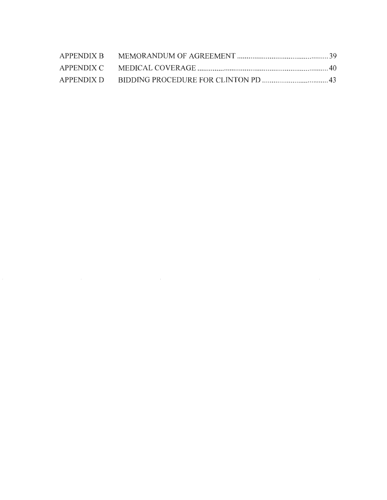| APPENDIX B |  |
|------------|--|
|            |  |
|            |  |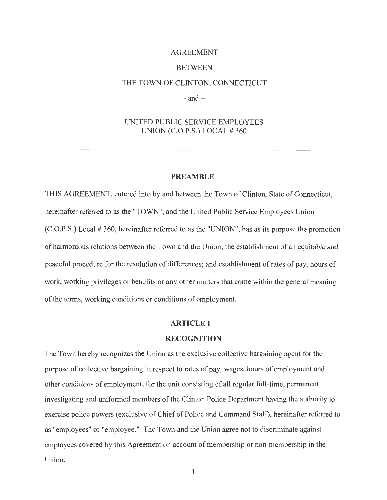# AGREEMENT **BETWEEN** THE TOWN OF CLINTON, CONNECTICUT

 $-$  and  $-$ 

# UNITED PUBLIC SERVICE EMPLOYEES UNION  $(C.O.P.S.)$  LOCAL  $#360$

# **PREAMBLE**

THIS AGREEMENT, entered into by and between the Town of Clinton, State of Connecticut, hereinafter referred to as the "TOWN", and the United Public Service Employees Union  $(C.O.P.S.)$  Local # 360, hereinafter referred to as the "UNION", has as its purpose the promotion of harmonious relations between the Town and the Union; the establishment of an equitable and peaceful procedure for the resolution of differences; and establishment of rates of pay, hours of work, working privileges or benefits or any other matters that come within the general meaning of the terms, working conditions or conditions of employment.

# **ARTICLE I**

# **RECOGNITION**

The Town hereby recognizes the Union as the exclusive collective bargaining agent for the purpose of collective bargaining in respect to rates of pay, wages, hours of employment and other conditions of employment, for the unit consisting  $\sigma$  all regular full-time, permanent investigating and uniformed members of the Clinton Police Department having the authority to exercise police powers (exclusive of Chief of Police and Command Staff), hereinafter referred to as "employees" or "employee." The Town and the Union agree not to discriminate against employees covered by this Agreement on account of membership or non-membership in the Union.

 $\mathbf{1}$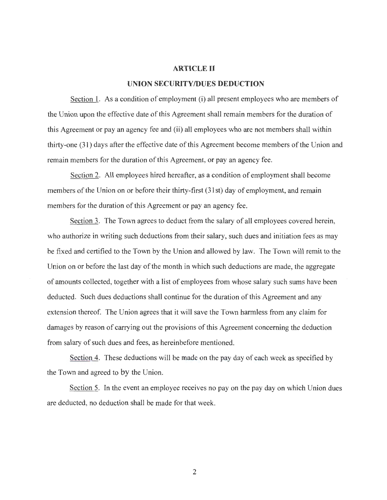# **ARTICLE II**

# **UNION SECURITY/DUES DEDUCTION**

Section 1. As a condition of employment (i) all present employees who are members of the Union upon the effective date of this Agreement shall remain members for the duration of this Agreement or pay an agency fee and (ii) all employees who are not members shall within thirty-one (31 ) days after the effective date of this Agreement become members of the Union and remain members for the duration of this Agreement, or pay an agency fee.

Section 2. All employees hired hereafter, as a condition of employment shall become members of the Union on or before their thirty-first (31st) day of employment, and remain members for the duration of this Agreement or pay an agency fee.

Section 3. The Town agrees to deduct from the salary of all employees covered herein, who authorize in writing such deductions from their salary, such dues and initiation fees as may be fixed and certified to the Town by the Union and allowed by law. The Town will remit to the Union on or before the last day of the month in which such deductions are made, the aggregate of amounts collected, together with a list of employees from whose salary such sums have been deducted. Such dues deductions shall continue for the duration of this Agreement and any extension thereof. The Union agrees that it will save the Town harmless from any claim for damages by reason of carrying out the provisions of this Agreement concerning the deduction from salary of such dues and fees, as hereinbefore mentioned.

Section 4. These deductions will be made on the pay day of each week as specified by the Town and agreed to by the Union.

Section 5. In the event an employee receives no pay on the pay day on which Union dues are deducted, no deduction shall be made for that week.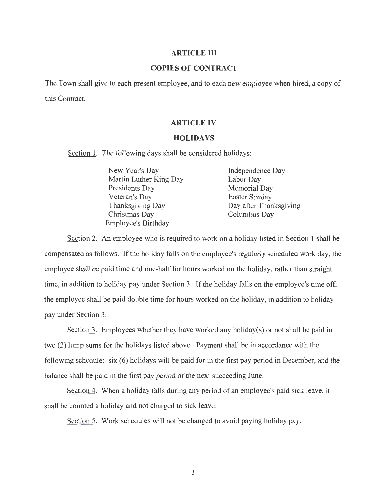# **ARTICLE III**

# **COPIES OF CONTRACT**

The Town shall give to each present employee, and to each new employee when hired, a copy of this Contract.

# **ARTICLE IV**

# **HOLIDAYS**

Section 1. The following days shall be considered holidays:

| New Year's Day             | Independence Day       |
|----------------------------|------------------------|
| Martin Luther King Day     | Labor Day              |
| Presidents Day             | Memorial Day           |
| Veteran's Day              | Easter Sunday          |
| Thanksgiving Day           | Day after Thanksgiving |
| Christmas Day              | Columbus Day           |
| <b>Employee's Birthday</b> |                        |

Section 2. An employee who is required to work on a holiday listed in Section 1 shall be compensated as follows. If the holiday falls on the employee's regularly scheduled work day, the employee shall be paid time and one-half for hours worked on the holiday, rather than straight time, in addition to holiday pay under Section 3. If the holiday falls on the employee's time off, the employee shall be paid double time for hours worked on the holiday, in addition to holiday pay under Section 3.

Section 3. Employees whether they have worked any holiday(s) or not shall be paid in two (2) lump sums for the holidays listed above. Payment shall be in accordance with the following schedule: six (6) holidays will be paid for in the first pay period in December, and the balance shall be paid in the first pay period of the next succeeding June.

Section 4. When a holiday falls during any period of an employee's paid sick leave, it shall be counted a holiday and not charged to sick leave.

Section 5. Work schedules will not be changed to avoid paying holiday pay.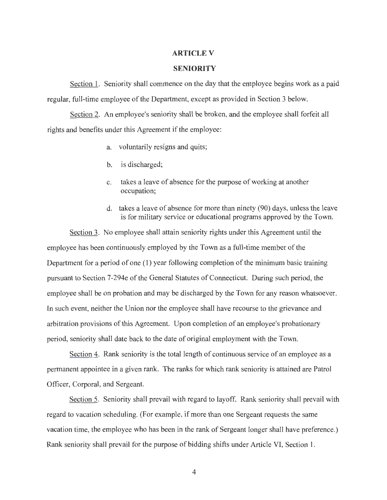# **ARTICLE V**

#### **SENIORITY**

Section 1. Seniority shall commence on the day that the employee begins work as a paid regular, full-time employee of the Department, except as provided in Section 3 below.

Section 2. An employee's seniority shall be broken, and the employee shall forfeit all rights and benefits under this Agreement if the employee:

- a. voluntarily resigns and quits;
- b. is discharged;
- c. takes a leave of absence for the purpose of working at another occupation;
- d. takes a leave of absence for more than ninety (90) days, unless the leave is for military service or educational programs approved by the Town.

Section 3. No employee shall attain seniority rights under this Agreement until the employee has been continuously employed by the Town as a full-time member of the Department for a period of one (1) year following completion of the minimum basic training pursuant to Section 7-294e of the General Statutes of Connecticut. During such period, the employee shall be on probation and may be discharged by the Town for any reason whatsoever. In such event, neither the Union nor the employee shall have recourse to the grievance and arbitration provisions of this Agreement. Upon completion of an employee's probationary period, seniority shall date back to the date of original employment with the Town.

Section 4. Rank seniority is the total length of continuous service of an employee as a permanent appointee in a given rank. The ranks for which rank seniority is attained are Patrol Officer, Corporal, and Sergeant.

Section 5. Seniority shall prevail with regard to layoff. Rank seniority shall prevail with regard to vacation scheduling. (For example, if more than one Sergeant requests the same vacation time, the employee who has been in the rank of Sergeant longer shall have preference.) Rank seniority shall prevail for the purpose of bidding shifts under Article VI, Section 1.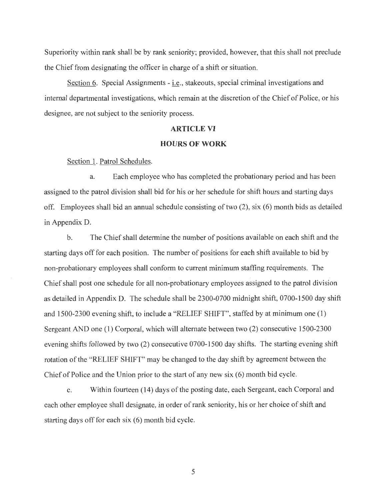Superiority within rank shall be by rank seniority; provided, however, that this shall not preclude the Chief from designating the officer in charge of a shift or situation.

Section 6. Special Assignments - i.e., stakeouts, special criminal investigations and internal departmental investigations, which remain at the discretion of the Chief of Police, or his designee, are not subject to the seniority process.

#### **ARTICLE VI**

#### **HOURS OF WORK**

Section 1. Patrol Schedules.

a. Each employee who has completed the probationary period and has been assigned to the patrol division shall bid for his or her schedule for shift hours and starting days off. Employees shall bid an annual schedule consisting of two (2), six (6) month bids as detailed in Appendix D.

b. The Chief shall determine the number of positions available on each shift and the starting days off for each position. The number of positions for each shift available to bid by non-probationary employees shall conform to current minimum staffing requirements. The Chief shall post one schedule for all non-probationary employees assigned to the patrol division as detailed in Appendix D. The schedule shall be 2300-0700 midnight shift, 0700-1500 day shift and 1500-2300 evening shift, to include a "RELIEF SHIFT", staffed by at minimum one (1) Sergeant AND one (1) Corporal, which will alternate between two (2) consecutive 1500-2300 evening shifts followed by two (2) consecutive 0700-1500 day shifts. The starting evening shift rotation of the "RELIEF SHIFT" may be changed to the day shift by agreement between the Chief of Police and the Union prior to the start of any new six (6) month bid cycle.

c. Within fourteen (14) days of the posting date, each Sergeant, each Corporal and each other employee shall designate, in order of rank seniority, his or her choice of shift and starting days off for each six (6) month bid cycle.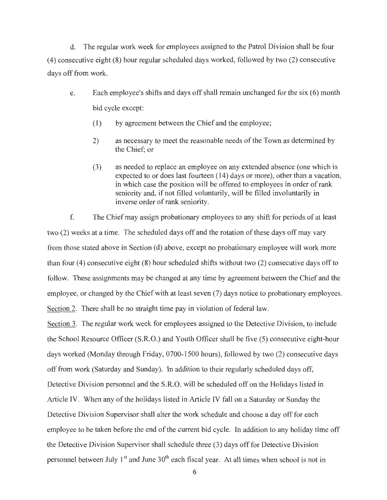d. The regular work week for employees assigned to the Patrol Division shall be four (4) consecutive eight (8) hour regular scheduled days worked, followed by two (2) consecutive days off from work.

- e. Each employee's shifts and days off shall remain unchanged for the six (6) month bid cycle except:
	- (1) by agreement between the Chief and the employee;
	- 2) as necessary to meet the reasonable needs of the Town as determined by the Chief; or
	- (3) as needed to replace an employee on any extended absence (one which is expected to or does last fourteen (14) days or more), other than a vacation, in which case the position will be offered to employees in order of rank seniority and, if not filled voluntarily, will be filled involuntarily in inverse order of rank seniority.

f. The Chief may assign probationary employees to any shift for periods of at least two (2) weeks at a time. The scheduled days off and the rotation of these days off may vary from those stated above in Section (d) above, except no probationary employee will work more than four (4) consecutive eight (8) hour scheduled shifts without two (2) consecutive days off to follow. These assignments may be changed at any time by agreement between the Chief and the employee, or changed by the Chief with at least seven (7) days notice to probationary employees. Section 2. There shall be no straight time pay in violation of federal law.

Section 3. The regular work week for employees assigned to the Detective Division, to include the School Resource Officer (S.R.O.) and Youth Officer shall be five (5) consecutive eight-hour days worked (Monday through Friday, 0700-1500 hours), followed by two (2) consecutive days off from work (Saturday and Sunday). In addition to their regularly scheduled days off, Detective Division personnel and the S.R.O. will be scheduled off on the Holidays listed in Article IV. When any of the holidays listed in Article IV fall on a Saturday or Sunday the Detective Division Supervisor shall alter the work schedule and choose a day off for each employee to be taken before the end of the current bid cycle. In addition to any holiday time off the Detective Division Supervisor shall schedule three (3) days off for Detective Division personnel between July 1<sup>st</sup> and June 30<sup>th</sup> each fiscal year. At all times when school is not in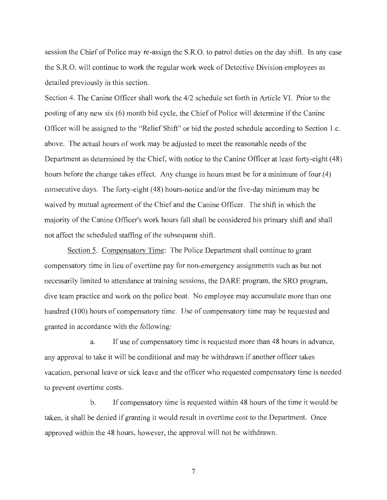session the Chief of Police may re-assign the S.R.O. to patrol duties on the day shift. In any case the S.R.O. will continue to work the regular work week of Detective Division employees as detailed previously in this section.

Section 4. The Canine Officer shall work the 4/2 schedule set forth in Article VI. Prior to the posting of any new six (6) month bid cycle, the Chief of Police will determine if the Canine Officer will be assigned to the "Relief Shift" or bid the posted schedule according to Section 1.c. above. The actual hours of work may be adjusted to meet the reasonable needs of the Department as determined by the Chief, with notice to the Canine Officer at least forty-eight (48) hours before the change takes effect. Any change in hours must be for a minimum of four (4) consecutive days. The forty-eight ( 48) hours-notice and/or the five-day minimum may be waived by mutual agreement of the Chief and the Canine Officer. The shift in which the majority of the Canine Officer's work hours fall shall be considered his primary shift and shall not affect the scheduled staffing of the subsequent shift.

Section 5. Compensatory Time: The Police Department shall continue to grant compensatory time in lieu of overtime pay for non-emergency assignments such as but not necessarily limited to attendance at training sessions, the DARE program, the SRO program, dive team practice and work on the police boat. No employee may accumulate more than one hundred (100) hours of compensatory time. Use of compensatory time may be requested and granted in accordance with the following:

a. If use of compensatory time is requested more than 48 hours in advance, any approval to take it will be conditional and may be withdrawn if another officer takes vacation, personal leave or sick leave and the officer who requested compensatory time is needed to prevent overtime costs.

b. If compensatory time is requested within 48 hours of the time it would be taken, it shall be denied if granting it would result in overtime cost to the Department. Once approved within the 48 hours, however, the approval will not be withdrawn.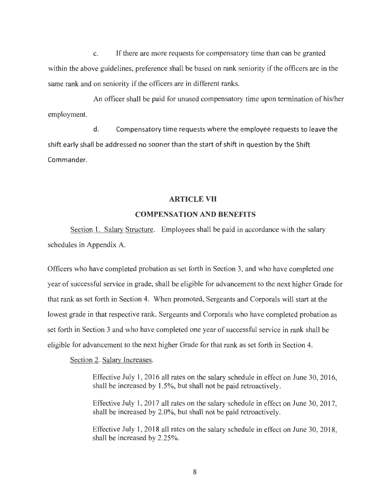c. If there are more requests for compensatory time than can be granted within the above guidelines, preference shall be based on rank seniority if the officers are in the same rank and on seniority if the officers are in different ranks.

An officer shall be paid for unused compensatory time upon termination of his/her employment.

d. Compensatory time requests where the employee requests to leave the shift early shall be addressed no sooner than the start of shift in question by the Shift Commander.

# **ARTICLE VII**

### **COMPENSATION AND BENEFITS**

Section 1. Salary Structure. Employees shall be paid in accordance with the salary schedules in Appendix A.

Officers who have completed probation as set forth in Section 3, and who have completed one year of successful service in grade, shall be eligible for advancement to the next higher Grade for that rank as set forth in Section 4. When promoted, Sergeants and Corporals will start at the lowest grade in that respective rank. Sergeants and Corporals who have completed probation as set forth in Section 3 and who have completed one year of successful service in rank shall be eligible for advancement to the next higher Grade for that rank as set forth in Section 4.

Section 2. Salary Increases.

Effective July 1, 2016 all rates on the salary schedule in effect on June 30, 2016, shall be increased by 1.5%, but shall not be paid retroactively.

Effective July 1, 2017 all rates on the salary schedule in effect on June 30, 2017, shall be increased by 2.0%, but shall not be paid retroactively.

Effective July 1, 2018 all rates on the salary schedule in effect on June 30, 2018, shall be increased by 2.25%.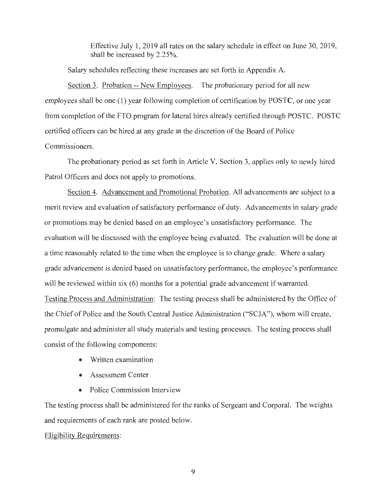Effective July 1, 2019 all rates on the salary schedule in effect on June 30, 2019, shall be increased by 2.25%.

Salary schedules reflecting these increases are set forth in Appendix A.

Section 3. Probation -- New Employees. The probationary period for all new employees shall be one (1) year following completion of certification by POSTC, or one year from completion of the FTO program for lateral hires already certified through POSTC. POSTC certified officers can be hired at any grade at the discretion of the Board of Police Commissioners.

The probationary period as set forth in Article V, Section 3, applies only to newly hired Patrol Officers and does not apply to promotions.

Section 4. Advancement and Promotional Probation. All advancements are subject to a merit review and evaluation of satisfactory performance of duty. Advancements in salary grade or promotions may be denied based on an employee's unsatisfactory performance. The evaluation will be discussed with the employee being evaluated. The evaluation will be done at a time reasonably related to the time when the employee is to change grade. Where a salary grade advancement is denied based on unsatisfactory performance, the employee's performance will be reviewed within six (6) months for a potential grade advancement if warranted. Testing Process and Administration: The testing process shall be administered by the Office of the Chief of Police and the South Central Justice Administration ("SCJA"), whom will create, promulgate and administer all study materials and testing processes. The testing process shall consist of the following components:

- Written examination
- Assessment Center
- Police Commission Interview

The testing process shall be administered for the ranks of Sergeant and Corporal. The weights and requirements of each rank are posted below.

# Eligibility Requirements: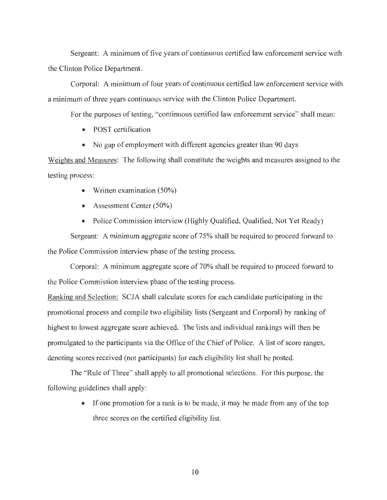Sergeant: A minimum of five years of continuous certified law enforcement service with the Clinton Police Department.

Corporal: A minimum of four years of continuous certified law enforcement service with a minimum of three years continuous service with the Clinton Police Department.

For the purposes of testing, "continuous certified law enforcement service" shall mean:

- POST certification
- No gap of employment with different agencies greater than 90 days

Weights and Measures: The following shall constitute the weights and measures assigned to the testing process:

- Written examination (50%)
- Assessment Center (50%)
- Police Commission interview (Highly Qualified, Qualified, Not Yet Ready)

Sergeant: A minimum aggregate score of 75% shall be required to proceed forward to the Police Commission interview phase of the testing process.

Corporal: A minimum aggregate score of 70% shall be required to proceed forward to the Police Commission interview phase of the testing process. ·

Ranking and Selection: SCJA shall calculate scores for each candidate participating in the promotional process and compile two eligibility lists (Sergeant and Corporal) by ranking of highest to lowest aggregate score achieved. The lists and individual rankings will then be promulgated to the participants via the Office of the Chief of Police. A list of score ranges, denoting scores received (not participants) for each eligibility list shall be posted.

The "Rule of Three" shall apply to all promotional selections. For this purpose, the following guidelines shall apply:

> • If one promotion for a rank is to be made, it may be made from any of the top three scores on the certified eligibility list.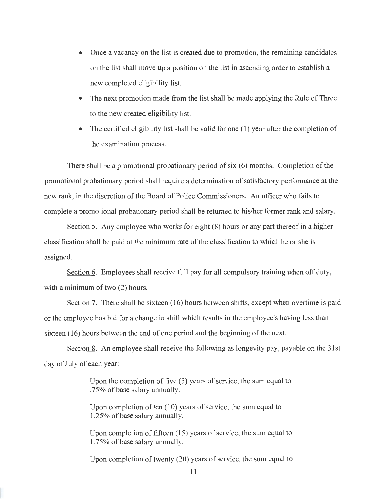- Once a vacancy on the list is created due to promotion, the remaining candidates on the list shall move up a position on the list in ascending order to establish a new completed eligibility list.
- The next promotion made from the list shall be made applying the Rule of Three to the new created eligibility list.
- The certified eligibility list shall be valid for one (1) year after the completion of the examination process.

There shall be a promotional probationary period of six (6) months. Completion of the promotional probationary period shall require a determination of satisfactory performance at the new rank, in the discretion of the Board of Police Commissioners. An officer who fails to complete a promotional probationary period shall be returned to his/her former rank and salary.

Section 5. Any employee who works for eight (8) hours or any part thereof in a higher classification shall be paid at the minimum rate of the classification to which he or she is assigned.

Section 6. Employees shall receive full pay for all compulsory training when off duty, with a minimum of two  $(2)$  hours.

Section 7. There shall be sixteen (16) hours between shifts, except when overtime is paid or the employee has bid for a change in shift which results in the employee's having less than sixteen (16) hours between the end of one period and the beginning of the next.

Section 8. An employee shall receive the following as longevity pay, payable on the 31st day of July of each year:

> Upon the completion of five (5) years of service, the sum equal to .75% of base salary annually.

Upon completion of ten (10) years of service, the sum equal to 1.25% of base salary annually.

Upon completion of fifteen (15) years of service, the sum equal to 1.75% of base salary annually.

Upon completion of twenty (20) years of service, the sum equal to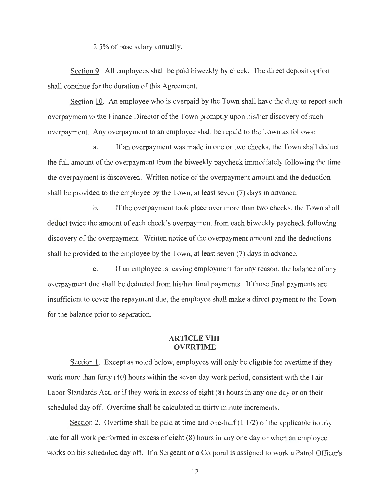2.5% of base salary annually.

Section 9. All employees shall be paid biweekly by check. The direct deposit option shall continue for the duration of this Agreement.

Section 10. An employee who is overpaid by the Town shall have the duty to report such overpayment to the Finance Director of the Town promptly upon his/her discovery of such overpayment. Any overpayment to an employee shall be repaid to the Town as follows:

a. If an overpayment was made in one or two checks, the Town shall deduct the full amount of the overpayment from the biweekly paycheck immediately following the time the overpayment is discovered. Written notice of the overpayment amount and the deduction shall be provided to the employee by the Town, at least seven (7) days in advance.

b. If the overpayment took place over more than two checks, the Town shall deduct twice the amount of each check's overpayment from each biweekly paycheck following discovery of the overpayment. Written notice of the overpayment amount and the deductions shall be provided to the employee by the Town, at least seven (7) days in advance.

c. If an employee is leaving employment for any reason, the balance of any overpayment due shall be deducted from his/her final payments. If those final payments are insufficient to cover the repayment due, the employee shall make a direct payment to the Town for the balance prior to separation.

# **ARTICLE VIII OVERTIME**

Section 1. Except as noted below, employees will only be eligible for overtime if they work more than forty (40) hours within the seven day work period, consistent with the Fair Labor Standards Act, or if they work in excess of eight (8) hours in any one day or on their scheduled day off. Overtime shall be calculated in thirty minute increments.

Section 2. Overtime shall be paid at time and one-half (1 1/2) of the applicable hourly rate for all work performed in excess of eight (8) hours **in** any one day or when an employee works on his scheduled day off. If a Sergeant or a Corporal is assigned to work a Patrol Officer's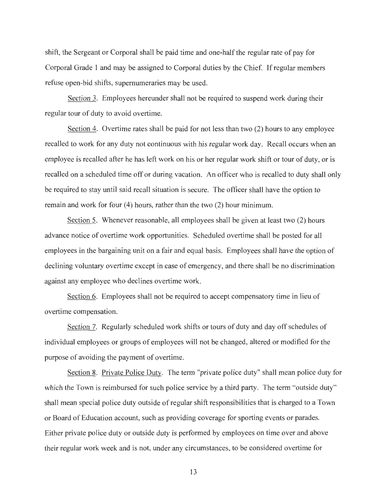shift, the Sergeant or Corporal shall be paid time and one-half the regular rate of pay for Corporal Grade 1 and may be assigned to Corporal duties by the Chief. If regular members refuse open-bid shifts, supernumeraries may be used.

Section 3. Employees hereunder shall not be required to suspend work during their regular tour of duty to avoid overtime.

Section 4. Overtime rates shall be paid for not less than two (2) hours to any employee recalled to work for any duty not continuous with his regular work day. Recall occurs when an employee is recalled after he has left work on his or her regular work shift or tour of duty, or is recalled on a scheduled time off or during vacation. An officer who is recalled to duty shall only be required to stay until said recall situation is secure. The officer shall have the option to remain and work for four (4) hours, rather than the two (2) hour minimum.

Section 5. Whenever reasonable, all employees shall be given at least two (2) hours advance notice of overtime work opportunities. Scheduled overtime shall be posted for all employees in the bargaining unit on a fair and equal basis. Employees shall have the option of declining voluntary overtime except in case of emergency, and there shall be no discrimination against any employee who declines overtime work.

Section 6. Employees shall not be required to accept compensatory time in lieu of overtime compensation.

Section 7. Regularly scheduled work shifts or tours of duty and day off schedules of individual employees or groups of employees will not be changed, altered or modified for the purpose of avoiding the payment of overtime.

Section 8. Private Police Duty. The term "private police duty" shall mean police duty for which the Town is reimbursed for such police service by a third party. The term "outside duty" shall mean special police duty outside of regular shift responsibilities that is charged to a Town or Board of Education account, such as providing coverage for sporting events or parades. Either private police duty or outside duty is performed by employees on time over and above their regular work week and is not, under any circumstances, to be considered overtime for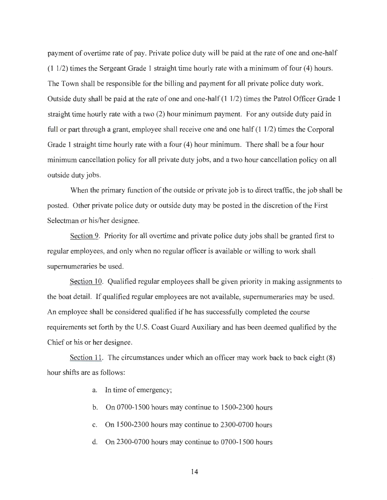payment of overtime rate of pay. Private police duty will be paid at the rate of one and one-half (11/2) times the Sergeant Grade 1 straight time hourly rate with a minimum of four (4) hours. The Town shall be responsible for the billing and payment for all private police duty work. Outside duty shall be paid at the rate of one and one-half (1 1/2) times the Patrol Officer Grade 1 straight time hourly rate with a two (2) hour minimum payment. For any outside duty paid in full or part through a grant, employee shall receive one and one half  $(1\ 1/2)$  times the Corporal Grade 1 straight time hourly rate with a four (4) hour minimum. There shall be a four hour minimum cancellation policy for all private duty jobs, and a two hour cancellation policy on all outside duty jobs.

When the primary function of the outside or private job is to direct traffic, the job shall be posted. Other private police duty or outside duty may be posted in the discretion of the First Selectman or his/her designee.

Section 9. Priority for all overtime and private police duty jobs shall be granted first to regular employees, and only when no regular officer is available or willing to work shall supernumeraries be used.

Section 10. Qualified regular employees shall be given priority in making assignments to the boat detail. If qualified regular employees are not available, supernumeraries may be used. An employee shall be considered qualified if he has successfully completed the course requirements set forth by the U.S. Coast Guard Auxiliary and has been deemed qualified by the Chief or his or her designee.

Section 11. The circumstances under which an officer may work back to back  $\epsilon_1$ ght (8) hour shifts are as follows:

- a. In time of emergency;
- b. On 0700-1500 hours may continue to 1500-2300 hours
- c. On 1500-2300 hours may continue to 2300-0700 hours
- d. On 2300-0700 hours may continue to 0700-1500 hours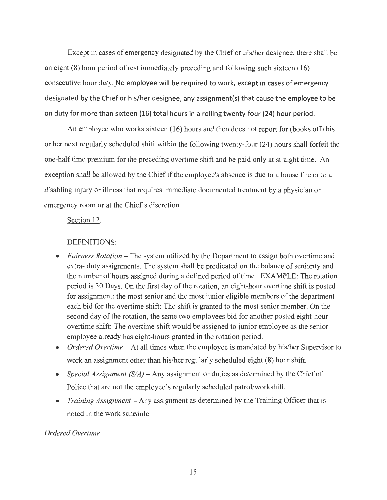Except in cases of emergency designated by the Chief or his/her designee, there shall be an eight  $(8)$  hour period of rest immediately preceding and following such sixteen  $(16)$ consecutive hour duty. No employee will be required to work, except in cases of emergency designated by the Chief or his/her designee, any assignment(s) that cause the employee to be on duty for more than sixteen (16) total hours in a rolling twenty-four (24) hour period.

An employee who works sixteen (16) hours and then does not report for (books off) his or her next regularly scheduled shift within the following twenty-four (24) hours shall forfeit the one-half time premium for the preceding overtime shift and be paid only at straight time. An exception shall be allowed by the Chief if the employee's absence is due to a house fire or to a disabling injury or illness that requires immediate documented treatment by a physician or emergency room or at the Chief's discretion.

Section 12.

#### DEFINITIONS:

- *Fairness Rotation* The system utilized by the Department to assign both overtime and extra- duty assignments. The system shall be predicated on the balance of seniority and the number of hours assigned during a defined period of time. EXAMPLE: The rotation period is 30 Days. On the first day of the rotation, an eight-hour overtime shift is posted for assignment: the most senior and the most junior eligible members of the department each bid for the overtime shift: The shift is granted to the most senior member. On the second day of the rotation, the same two employees bid for another posted eight-hour overtime shift: The overtime shift would be assigned to junior employee as the senior employee already has eight-hours granted in the rotation period.
- *Ordered Overtime* At all times when the employee is mandated by his/her Supervisor to work an assignment other than his/her regularly scheduled eight (8) hour shift.
- *Special Assignment (S/A)* Any assignment or duties as determined by the Chief of Police that are not the employee's regularly scheduled patrol/workshift.
- *Training Assignment* Any assignment as determined by the Training Officer that is noted in the work schedule.

# *Ordered Overtime*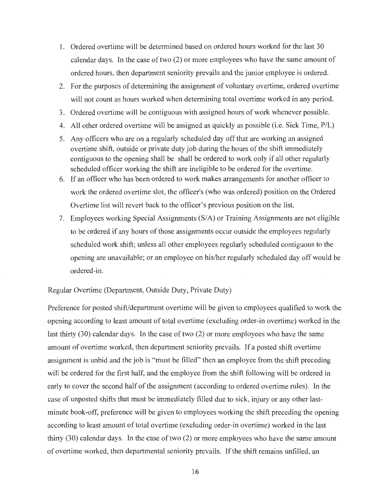- 1. Ordered overtime will be determined based on ordered hours worked for the last 30 calendar days. In the case of two (2) or more employees who have the same amount of ordered hours, then department seniority prevails and the junior employee is ordered.
- 2. For the purposes of determining the assignment of voluntary overtime, ordered overtime will not count as hours worked when determining total overtime worked in any period.
- 3. Ordered overtime will be contiguous with assigned hours of work whenever possible.
- 4. All other ordered overtime will be assigned as quickly as possible (i.e. Sick Time, P/L)
- 5. Any officers who are on a regularly scheduled day off that are working an assigned overtime shift, outside or private duty job during the hours of the shift immediately contiguous to the opening shall be shall be ordered to work only if all other regularly scheduled officer working the shift are ineligible to be ordered for the overtime.
- 6. If an officer who has been ordered to work makes arrangements for another officer to work the ordered overtime slot, the officer's (who was ordered) position on the Ordered Overtime list will revert back to the officer's previous position on the list.
- 7. Employees working Special Assignments (S/A) or Training Assignments are not eligible to be ordered if any hours of those assignments occur outside the employees regularly scheduled work shift; unless all other employees regularly scheduled contiguous to the opening are unavailable; or an employee on his/her regularly scheduled day off would be ordered-in.

Regular Overtime (Department, Outside Duty, Private Duty)

Preference for posted shift/department overtime will be given to employees qualified to work the opening according to least amount of total overtime (excluding order-in overtime) worked in the last thirty (30) calendar days. In the case of two (2) or more employees who have the same amount of overtime worked, then department seniority prevails. If a posted shift overtime assignment is unbid and the job is "must be filled" then an employee from the shift preceding will be ordered for the first half, and the employee from the shift following will be ordered in early to cover the second half of the assignment (according to ordered overtime rules). In the case of unposted shifts that must be immediately filled due to sick, injury or any other lastminute book-off, preference will be given to employees working the shift preceding the opening according to least amount of total overtime (excluding order-in overtime) worked in the last thirty (30) calendar days. In the case of two (2) or more employees who have the same amount of overtime worked, then departmental seniority prevails. If the shift remains unfilled, an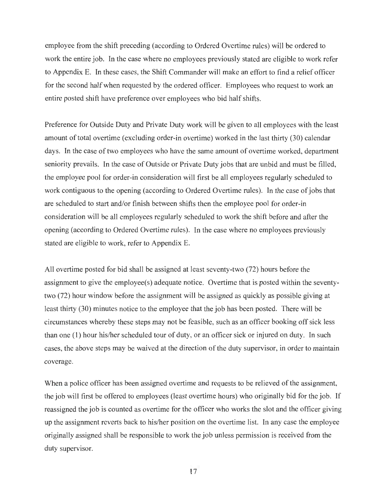employee from the shift preceding (according to Ordered Overtime rules) will be ordered to work the entire job. In the case where no employees previously stated are eligible to work refer to Appendix E. In these cases, the Shift Commander will make an effort to find a relief officer for the second half when requested by the ordered officer. Employees who request to work an entire posted shift have preference over employees who bid half shifts.

Preference for Outside Duty and Private Duty work will be given to all employees with the least amount of total overtime (excluding order-in overtime) worked in the last thirty (30) calendar days. In the case of two employees who have the same amount of overtime worked, department seniority prevails. In the case of Outside or Private Duty jobs that are unbid and must be filled, the employee pool for order-in consideration will first be all employees regularly scheduled to work contiguous to the opening (according to Ordered Overtime rules). In the case of jobs that are scheduled to start and/or finish between shifts then the employee pool for order-in consideration will be all employees regularly scheduled to work the shift before and after the opening (according to Ordered Overtime rules). In the case where no employees previously stated are eligible to work, refer to Appendix E.

All overtime posted for bid shall be assigned at least seventy-two (72) hours before the assignment to give the employee(s) adequate notice. Overtime that is posted within the seventytwo (72) hour window before the assignment will be assigned as quickly as possible giving at least thirty (30) minutes notice to the employee that the job has been posted. There will be circumstances whereby these steps may not be feasible, such as an officer booking off sick less than one (1) hour his/her scheduled tour of duty, or an officer sick or injured on duty. In such cases, the above steps may be waived at the direction of the duty supervisor, in order to maintain coverage.

When a police officer has been assigned overtime and requests to be relieved of the assignment, the job will first be offered to employees (least overtime hours) who originally bid for the job. If reassigned the job is counted as overtime for the officer who works the slot and the officer giving up the assignment reverts back to his/her position on the overtime list. In any case the employee originally assigned shall be responsible to work the job unless permission is received from the duty supervisor.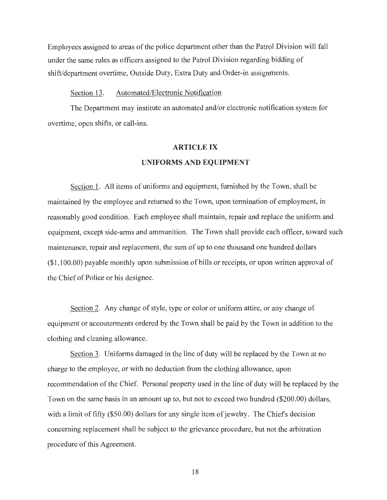Employees assigned to areas of the police department other than the Patrol Division will fall under the same rules as officers assigned to the Patrol Division regarding bidding of shift/department overtime, Outside Duty, Extra Duty and Order-in assignments.

#### Section 13. Automated/Electronic Notification

The Department may institute an automated and/or electronic notification system for overtime, open shifts, or call-ins.

# **ARTICLE IX UNIFORMS AND EQUIPMENT**

Section 1. All items of uniforms and equipment, furnished by the Town, shall be maintained by the employee and returned to the Town, upon termination of employment, in reasonably good condition. Each employee shall maintain, repair and replace the uniform and equipment, except side-arms and ammunition. The Town shall provide each officer, toward such maintenance, repair and replacement, the sum of up to one thousand one hundred dollars (\$1 ,100.00) payable monthly upon submission of bills or receipts, or upon written approval of the Chief of Police or his designee.

Section 2. Any change of style, type or color or uniform attire, or any change of equipment or accouterments ordered by the Town shall be paid by the Town in addition to the clothing and cleaning allowance.

Section 3. Uniforms damaged in the line of duty will be replaced by the Town at no charge to the employee, or with no deduction from the clothing allowance, upon recommendation of the Chief. Personal property used in the line of duty will be replaced by the Town on the same basis in an amount up to, but not to exceed two hundred (\$200.00) dollars, with a limit of fifty (\$50.00) dollars for any single item of jewelry. The Chiefs decision concerning replacement shall be subject to the grievance procedure, but not the arbitration procedure of this Agreement.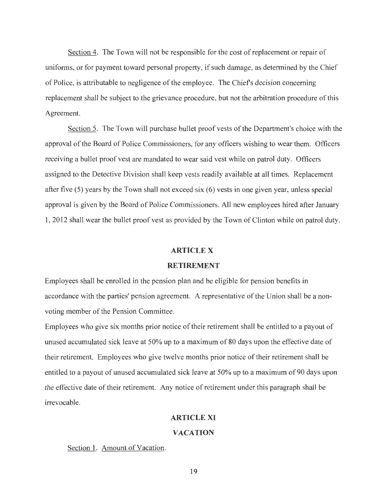Section 4. The Town will not be responsible for the cost of replacement or repair of uniforms, or for payment toward personal property, if such damage, as determined by the Chief of Police, is attributable to negligence of the employee. The Chiefs decision concerning replacement shall be subject to the grievance procedure, but not the arbitration procedure of this Agreement.

Section 5. The Town will purchase bullet proof vests of the Department's choice with the approval of the Board of Police Commissioners, for any officers wishing to wear them. Officers receiving a bullet proof vest are mandated to wear said vest while on patrol duty. Officers assigned to the Detective Division shall keep vests readily available at all times. Replacement after five (5) years by the Town shall not exceed six (6) vests in one given year, unless special approval is given by the Board of Police Commissioners. All new employees hired after January 1, 2012 shall wear the bullet proof vest as provided by the Town of Clinton while on patrol duty.

### **ARTICLEX**

# **RETIREMENT**

Employees shall be enrolled in the pension plan and be eligible for pension benefits in accordance with the parties' pension agreement. A representative of the Union shall be a nonvoting member of the Pension Committee.

Employees who give six months prior notice of their retirement shall be entitled to a payout of unused accumulated sick leave at 50% up to a maximum of 80 days upon the effective date of their retirement. Employees who give twelve months prior notice of their retirement shall be entitled to a payout of unused accumulated sick leave at 50% up to a maximum of 90 days upon the effective date of their retirement. Any notice of retirement under this paragraph shall be irrevocable.

# **ARTICLE XI**

# **VACATION**

Section 1. Amount of Vacation.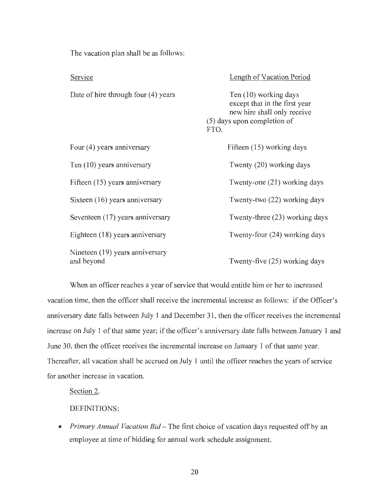The vacation plan shall be as follows:

Service Date of hire through four (4) years Four (4) years anniversary Ten (10) years anniversary Fifteen (15) years anniversary Sixteen (16) years anniversary Seventeen (17) years anniversary Eighteen (18) years anniversary Nineteen (19) years anniversary and beyond Length of Vacation Period Ten (10) working days except that in the first year new hire shall only receive (5) days upon completion of FTO. Fifteen (15) working days Twenty (20) working days Twenty-one (21) working days Twenty-two (22) working days Twenty-three (23) working days Twenty-four (24) working days Twenty-five (25) working days

When an officer reaches a year of service that would entitle him or her to increased vacation time, then the officer shall receive the incremental increase as follows: if the Officer's anniversary date falls between July 1 and December 31 , then the officer receives the incremental increase on July 1 of that same year; if the officer's anniversary date falls between January 1 and June 30, then the officer receives the incremental increase on January 1 of that same year. Thereafter, all vacation shall be accrued on July 1 until the officer reaches the years of service for another increase in vacation.

Section 2.

DEFINITIONS:

• *Primary Annual Vacation Bid* – The first choice of vacation days requested off by an employee at time of bidding for annual work schedule assignment.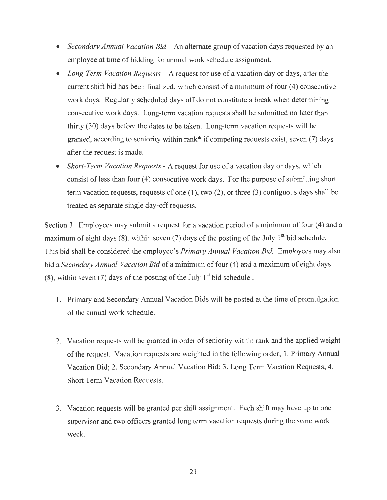- *Secondary Annual Vacation Bid* An alternate group of vacation days requested by an employee at time of bidding for annual work schedule assignment.
- *Long-Term Vacation Requests* A request for use of a vacation day or days, after the current shift bid has been finalized, which consist of a minimum of four (4) consecutive work days. Regularly scheduled days off do not constitute a break when determining consecutive work days. Long-term vacation requests shall be submitted no later than thirty (30) days before the dates to be taken. Long-term vacation requests will be granted, according to seniority within rank\* if competing requests exist, seven (7) days after the request is made.
- *Short-Term Vacation Requests* -A request for use of a vacation day or days, which consist of less than four (4) consecutive work days. For the purpose of submitting short term vacation requests, requests of one (1), two (2), or three (3) contiguous days shall be treated as separate single day-off requests.

Section 3. Employees may submit a request for a vacation period of a minimum of four (4) and a maximum of eight days  $(8)$ , within seven  $(7)$  days of the posting of the July 1<sup>st</sup> bid schedule. This bid shall be considered the employee's *Primary Annual Vacation Bid.* Employees may also bid a *Secondary Annual Vacation Bid* of a minimum of four (4) and a maximum of eight days (8), within seven (7) days of the posting of the July  $1<sup>st</sup>$  bid schedule.

- 1. Primary and Secondary Annual Vacation Bids will be posted at the time of promulgation of the annual work schedule.
- 2. Vacation requests will be granted in order of seniority within rank and the applied weight of the request. Vacation requests are weighted in the following order; 1. Primary Annual Vacation Bid; 2. Secondary Annual Vacation Bid; 3. Long Term Vacation Requests; 4. Short Term Vacation Requests.
- 3. Vacation requests will be granted per shift assignment. Each shift may have up to one supervisor and two officers granted long term vacation requests during the same work week.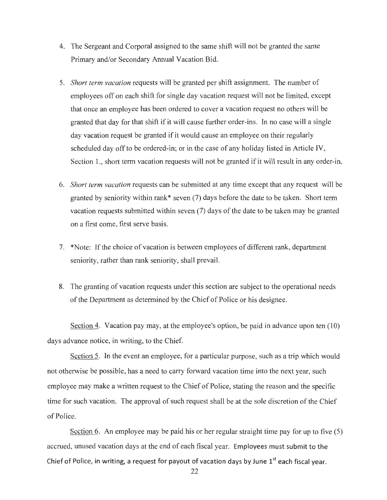- 4. The Sergeant and Corporal assigned to the same shift will not be granted the same Primary and/or Secondary Annual Vacation Bid.
- 5. *Short term vacation* requests will be granted per shift assignment. The number of employees off on each shift for single day vacation request will not be limited, except that once an employee has been ordered to cover a vacation request no others will be granted that day for that shift if it will cause further order-ins. In no case will a single day vacation request be granted if it would cause an employee on their regularly scheduled day off to be ordered-in; or in the case of any holiday listed in Article IV, Section 1., short term vacation requests will not be granted if it will result in any order-in.
- 6. *Short term vacation* requests can be submitted at any time except that any request will be granted by seniority within rank\* seven (7) days before the date to be taken. Short term vacation requests submitted within seven (7) days of the date to be taken may be granted on a first come, first serve basis.
- 7. \*Note: If the choice of vacation is between employees of different rank, department seniority, rather than rank seniority, shall prevail.
- 8. The granting of vacation requests under this section are subject to the operational needs of the Department as determined by the Chief of Police or his designee.

Section 4. Vacation pay may, at the employee's option, be paid in advance upon ten (10) days advance notice, in writing, to the Chief.

Section 5. In the event an employee, for a particular purpose, such as a trip which would not otherwise be possible, has a need to carry forward vacation time into the next year, such employee may make a written request to the Chief of Police, stating the reason and the specific time for such vacation. The approval of such request shall be at the sole discretion of the Chief of Police.

Section 6. An employee may be paid his or her regular straight time pay for up to five (5) accrued, unused vacation days at the end of each fiscal year. Employees must submit to the Chief of Police, in writing, a request for payout of vacation days by June  $1<sup>st</sup>$  each fiscal year.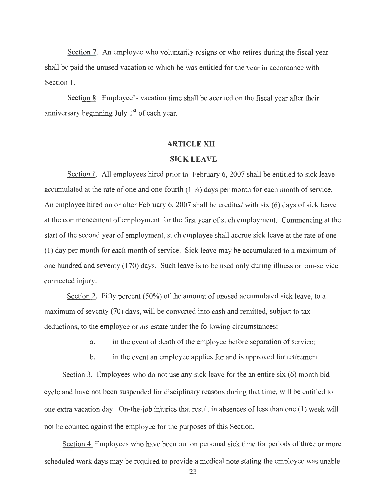Section 7. An employee who voluntarily resigns or who retires during the fiscal year shall be paid the unused vacation to which he was entitled for the year in accordance with Section 1.

Section 8. Employee's vacation time shall be accrued on the fiscal year after their anniversary beginning July 1<sup>st</sup> of each year.

#### **ARTICLE XII**

#### **SICK LEAVE**

Section 1. All employees hired prior to February 6, 2007 shall be entitled to sick leave accumulated at the rate of one and one-fourth (1 ¼) days per month for each month of service. An employee hired on or after February 6, 2007 shall be credited with six (6) days of sick leave at the commencement of employment for the first year of such employment. Commencing at the start of the second year of employment, such employee shall accrue sick leave at the rate of one (1) day per month for each month of service. Sick leave may be accumulated to a maximum of one hundred and seventy (170) days. Such leave is to be used only during illness or non-service connected injury.

Section 2. Fifty percent (50%) of the amount of unused accumulated sick leave, to a maximum of seventy (70) days, will be converted into cash and remitted, subject to tax deductions, to the employee or his estate under the following circumstances:

a. in the event of death of the employee before separation of service;

b. in the event an employee applies for and is approved for retirement.

Section 3. Employees who do not use any sick leave for the an entire six  $(6)$  month bid cycle and have not been suspended for disciplinary reasons during that time, will be entitled to one extra vacation day. On-the-job injuries that result in absences of less than one (1) week will not be counted against the employee for the purposes of this Section.

Section 4. Employees who have been out on personal sick time for periods of three or more scheduled work days may be required to provide a medical note stating the employee was unable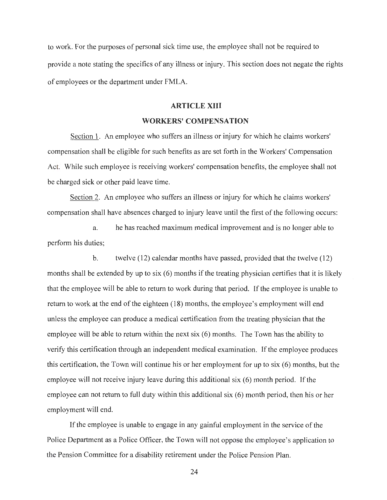to work. For the purposes of personal sick time use, the employee shall not be required to provide a note stating the specifics of any illness or injury. This section does not negate the rights of employees or the department under FMLA.

# **ARTICLE XIII**

#### **WORKERS' COMPENSATION**

Section 1. An employee who suffers an illness or injury for which he claims workers' compensation shall be eligible for such benefits as are set forth in the Workers' Compensation Act. While such employee is receiving workers' compensation benefits, the employee shall not be charged sick or other paid leave time.

Section 2. An employee who suffers an illness or injury for which he claims workers' compensation shall have absences charged to injury leave until the first of the following occurs:

a. he has reached maximum medical improvement and is no longer able to perform his duties;

b. twelve (12) calendar months have passed, provided that the twelve (12) months shall be extended by up to six  $(6)$  months if the treating physician certifies that it is likely that the employee will be able to return to work during that period. If the employee is unable to return to work at the end of the eighteen (18) months, the employee's employment will end unless the employee can produce a medical certification from the treating physician that the employee will be able to return within the next six (6) months. The Town has the ability to verify this certification through an independent medical examination. If the employee produces this certification, the Town will continue his or her employment for up to six (6) months, but the employee will not receive injury leave during this additional six (6) month period. If the employee can not return to full duty within this additional six (6) month period, then his or her employment will end.

If the employee is unable to engage in any gainful employment in the service of the Police Department as a Police Officer, the Town will not oppose the employee's application to the Pension Committee for a disability retirement under the Police Pension Plan.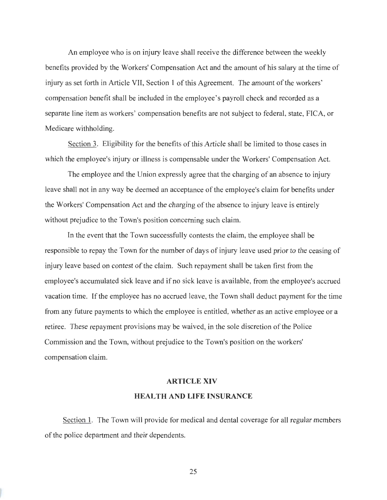An employee who is on injury leave shall receive the difference between the weekly benefits provided by the Workers' Compensation Act and the amount of his salary at the time of injury as set forth in Article VII, Section 1 of this Agreement. The amount of the workers' compensation benefit shall be included in the employee's payroll check and recorded as a separate line item as workers' compensation benefits are not subject to federal, state, FICA, or Medicare withholding.

Section 3. Eligibility for the benefits of this Article shall be limited to those cases in which the employee's injury or illness is compensable under the Workers' Compensation Act.

The employee and the Union expressly agree that the charging of an absence to injury leave shall not in any way be deemed an acceptance of the employee's claim for benefits under the Workers' Compensation Act and the charging of the absence to injury leave is entirely without prejudice to the Town's position concerning such claim.

In the event that the Town successfully contests the claim, the employee shall be responsible to repay the Town for the number of days of injury leave used prior to the ceasing of injury leave based on contest of the claim. Such repayment shall be taken first from the employee's accumulated sick leave and if no sick leave is available, from the employee's accrued vacation time. If the employee has no accrued leave, the Town shall deduct payment for the time from any future payments to which the employee is entitled, whether as an active employee or a retiree. These repayment provisions may be waived, in the sole discretion of the Police Commission and the Town, without prejudice to the Town's position on the workers' compensation claim.

#### **ARTICLE XIV**

# **HEAL TH AND LIFE INSURANCE**

Section 1. The Town will provide for medical and dental coverage for all regular members of the police department and their dependents.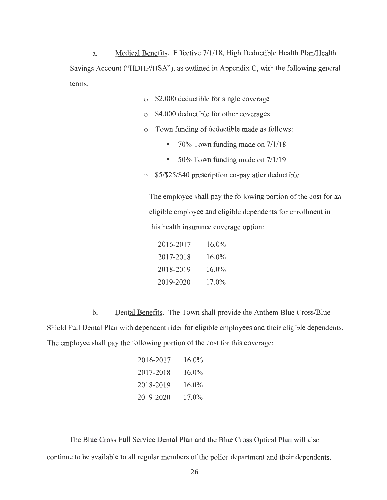a. Medical Benefits. Effective 7/1/18, High Deductible Health Plan/Health Savings Account ("HDHP/HSA"), as outlined in Appendix C, with the following general terms:

- o \$2,000 deductible for single coverage
- o \$4,000 deductible for other coverages
- o Town funding of deductible made as follows:
	- 70% Town funding made on 7/1/18
	- 50% Town funding made on  $7/1/19$
- o \$5/\$25/\$40 prescription co-pay after deductible

The employee shall pay the following portion of the cost for an eligible employee and eligible dependents for enrollment in this health insurance coverage option:

| 2016-2017 | 16.0%    |
|-----------|----------|
| 2017-2018 | 16.0%    |
| 2018-2019 | $16.0\%$ |
| 2019-2020 | $17.0\%$ |

b. Dental Benefits. The Town shall provide the Anthem Blue Cross/Blue Shield Full Dental Plan with dependent rider for eligible employees and their eligible dependents. The employee shall pay the following portion of the cost for this coverage:

| 2016-2017 | $16.0\%$ |
|-----------|----------|
| 2017-2018 | $16.0\%$ |
| 2018-2019 | 16.0%    |
| 2019-2020 | 17.0%    |

The Blue Cross Full Service Dental Plan and the Blue Cross Optical Plan will also continue to be available to all regular members of the police department and their dependents.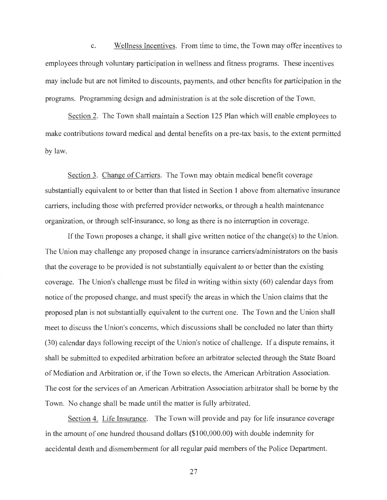C. Wellness Incentives. From time to time, the Town may offer incentives to employees through voluntary participation in wellness and fitness programs. These incentives may include but are not limited to discounts, payments, and other benefits for participation in the programs. Programming design and administration is at the sole discretion of the Town.

Section 2. The Town shall maintain a Section 125 Plan which will enable employees to make contributions toward medical and dental benefits on a pre-tax basis, to the extent permitted by law.

Section 3. Change of Carriers. The Town may obtain medical benefit coverage substantially equivalent to or better than that listed in Section 1 above from alternative insurance carriers, including those with preferred provider networks, or through a health maintenance organization, or through self-insurance, so long as there is no interruption in coverage.

If the Town proposes a change, it shall give written notice of the change(s) to the Union. The Union may challenge any proposed change in insurance carriers/administrators on the basis that the coverage to be provided is not substantially equivalent to or better than the existing coverage. The Union's challenge must be filed in writing within sixty (60) calendar days from notice of the proposed change, and must specify the areas in which the Union claims that the proposed plan is not substantially equivalent to the current one. The Town and the Union shall meet to discuss the Union's concerns, which discussions shall be concluded no later than thirty (30) calendar days following receipt of the Union's notice of challenge. If a dispute remains, it shall be submitted to expedited arbitration before an arbitrator selected through the State Board of Mediation and Arbitration or, if the Town so elects, the American Arbitration Association. The cost for the services of an American Arbitration Association arbitrator shall be borne by the Town. No change shall be made until the matter is fully arbitrated.

Section 4. Life Insurance. The Town will provide and pay for life insurance coverage in the amount of one hundred thousand dollars (\$100,000.00) with double indemnity for accidental death and dismemberment for all regular paid members of the Police Department.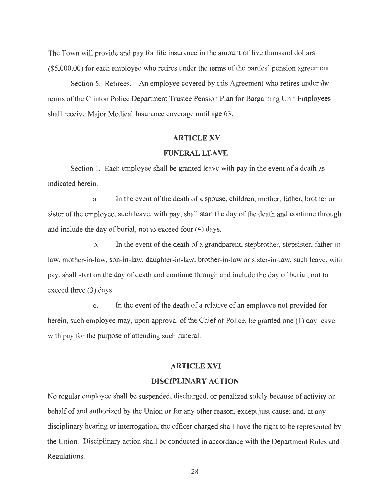The Town will provide and pay for life insurance in the amount of five thousand dollars (\$5,000.00) for each employee who retires under the terms of the parties' pension agreement.

Section 5. Retirees. An employee covered by this Agreement who retires under the terms of the Clinton Police Department Trustee Pension Plan for Bargaining Unit Employees shall receive Major Medical Insurance coverage until age 63.

## **ARTICLE XV**

# **FUNERAL LEAVE**

Section 1. Each employee shall be granted leave with pay in the event of a death as indicated herein.

a. In the event of the death of a spouse, children, mother, father, brother or sister of the employee, such leave, with pay, shall start the day of the death and continue through and include the day of burial, not to exceed four (4) days.

b. In the event of the death of a grandparent, stepbrother, stepsister, father-inlaw, mother-in-law, son-in-law, daughter-in-law, brother-in-law or sister-in-law, such leave, with pay, shall start on the day of death and continue through and include the day of burial, not to exceed three (3) days.

c. In the event of the death of a relative of an employee not provided for herein, such employee may, upon approval of the Chief of Police, be granted one **(1)** day leave with pay for the purpose of attending such funeral.

# **ARTICLE XVI**

#### **DISCIPLINARY ACTION**

No regular employee shall be suspended, discharged, or penalized solely because of activity on behalf of and authorized by the Union or for any other reason, except just cause; and, at any disciplinary hearing or interrogation, the officer charged shall have the right to be represented by the Union. Disciplinary action shall be conducted in accordance with the Department Rules and Regulations.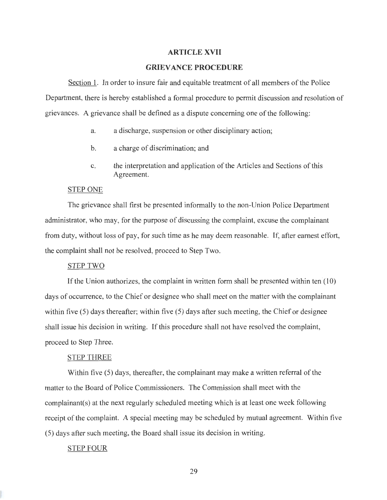#### **ARTICLE XVII**

## **GRIEVANCE PROCEDURE**

Section 1. In order to insure fair and equitable treatment of all members of the Police Department, there is hereby established a formal procedure to permit discussion and resolution of grievances. A grievance shall be defined as a dispute concerning one of the following:

- a. a discharge, suspension or other disciplinary action;
- b. a charge of discrimination; and
- c. the interpretation and application of the Articles and Sections of this Agreement.

# STEP ONE

The grievance shall first be presented informally to the non-Union Police Department administrator, who may, for the purpose of discussing the complaint, excuse the complainant from duty, without loss of pay, for such time as he may deem reasonable. If, after earnest effort, the complaint shall not be resolved, proceed to Step Two.

#### STEP TWO

If the Union authorizes, the complaint in written form shall be presented within ten (10) days of occurrence, to the Chief or designee who shall meet on the matter with the complainant within five (5) days thereafter; within five (5) days after such meeting, the Chief or designee shall issue his decision in writing. If this procedure shall not have resolved the complaint, proceed to Step Three.

#### STEP THREE

Within five (5) days, thereafter, the complainant may make a written referral of the matter to the Board of Police Commissioners. The Commission shall meet with the complainant(s) at the next regularly scheduled meeting which is at least one week following receipt of the complaint. A special meeting may be scheduled by mutual agreement. Within five (5) days after such meeting, the Board shall issue its decision in writing.

# STEP FOUR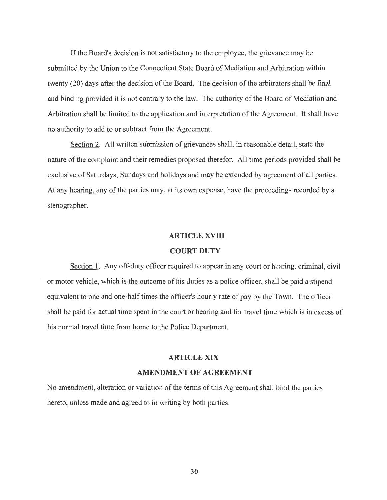If the Board's decision is not satisfactory to the employee, the grievance may be submitted by the Union to the Connecticut State Board of Mediation and Arbitration within twenty (20) days after the decision of the Board. The decision of the arbitrators shall be final and binding provided it is not contrary to the law. The authority of the Board of Mediation and Arbitration shall be limited to the application and interpretation of the Agreement. It shall have no authority to add to or subtract from the Agreement.

Section 2. All written submission of grievances shall, in reasonable detail, state the nature of the complaint and their remedies proposed therefor. All time periods provided shall be exclusive of Saturdays, Sundays and holidays and may be extended by agreement of all parties. At any hearing, any of the parties may, at its own expense, have the proceedings recorded by a stenographer.

#### **ARTICLE XVIII**

## **COURT DUTY**

Section 1. Any off-duty officer required to appear in any court or hearing, criminal, civil or motor vehicle, which is the outcome of his duties as a police officer, shall be paid a stipend equivalent to one and one-half times the officer's hourly rate of pay by the Town. The officer shall be paid for actual time spent in the court or hearing and for travel time which is in excess of his normal travel time from home to the Police Department.

#### **ARTICLE XIX**

#### **AMENDMENT OF AGREEMENT**

No amendment, alteration or variation of the terms of this Agreement shall bind the parties hereto, unless made and agreed to in writing by both parties.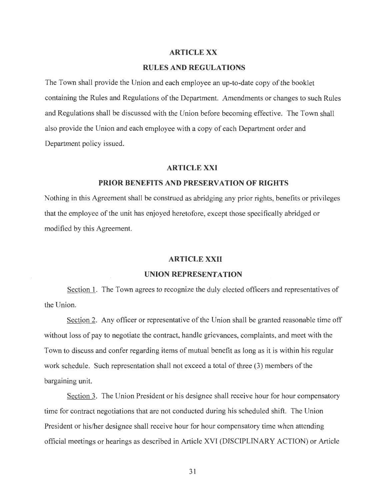# **ARTICLE XX**

# **RULES AND REGULATIONS**

The Town shall provide the Union and each employee an up-to-date copy of the booklet containing the Rules and Regulations of the Department. Amendments or changes to such Rules and Regulations shall be discussed with the Union before becoming effective. The Town shall also provide the Union and each employee with a copy of each Department order and Department policy issued.

# **ARTICLEXXI**

# **PRIOR BENEFITS AND PRESERVATION OF RIGHTS**

Nothing in this Agreement shall be construed as abridging any prior rights, benefits or privileges that the employee of the unit has enjoyed heretofore, except those specifically abridged or modified by this Agreement.

#### **ARTICLE XXII**

#### **UNION REPRESENTATION**

Section 1. The Town agrees to recognize the duly elected officers and representatives of the Union.

Section 2. Any officer or representative of the Union shall be granted reasonable time off without loss of pay to negotiate the contract, handle grievances, complaints, and meet with the Town to discuss and confer regarding items of mutual benefit as long as it is within his regular work schedule. Such representation shall not exceed a total of three (3) members of the bargaining unit.

Section 3. The Union President or his designee shall receive hour for hour compensatory time for contract negotiations that are not conducted during his scheduled shift. The Union President or his/her designee shall receive hour for hour compensatory time when attending official meetings or hearings as described in Article XVI (DISCIPLINARY ACTION) or Article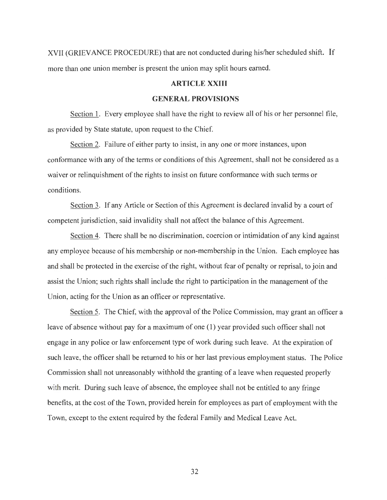XVII (GRIEVANCE PROCEDURE) that are not conducted during his/her scheduled shift. If more than one union member is present the union may split hours earned.

# **ARTICLE XXIII**

# **GENERAL PROVISIONS**

Section 1. Every employee shall have the right to review all of his or her personnel file, as provided by State statute, upon request to the Chief.

Section 2. Failure of either party to insist, in any one or more instances, upon conformance with any of the terms or conditions of this Agreement, shall not be considered as a waiver or relinquishment of the rights to insist on future conformance with such terms or conditions.

Section 3. If any Article or Section of this Agreement is declared invalid by a court of competent jurisdiction, said invalidity shall not affect the balance of this Agreement.

Section 4. There shall be no discrimination, coercion or intimidation of any kind against any employee because of his membership or non-membership in the Union. Each employee has and shall be protected in the exercise of the right, without fear of penalty or reprisal, to join and assist the Union; such rights shall include the right to participation in the management of the Union, acting for the Union as an officer or representative.

Section 5. The Chief, with the approval of the Police Commission, may grant an officer a leave of absence without pay for a maximum of one ( 1) year provided such officer shall not engage in any police or law enforcement type of work during such leave. At the expiration of such leave, the officer shall be returned to his or her last previous employment status. The Police Commission shall not unreasonably withhold the granting of a leave when requested properly with merit. During such leave of absence, the employee shall not be entitled to any fringe benefits, at the cost of the Town, provided herein for employees as part of employment with the Town, except to the extent required by the federal Family and Medical Leave Act.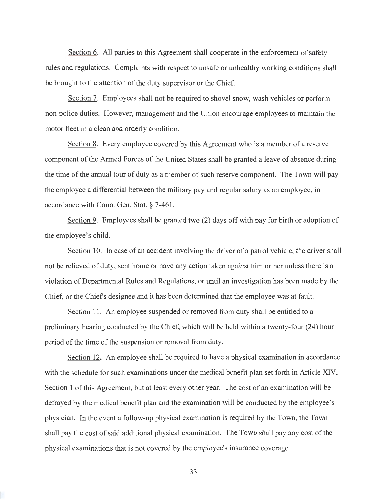Section 6. All parties to this Agreement shall cooperate in the enforcement of safety rules and regulations. Complaints with respect to unsafe or unhealthy working conditions shall be brought to the attention of the duty supervisor or the Chief.

Section 7. Employees shall not be required to shovel snow, wash vehicles or perform non-police duties. However, management and the Union encourage employees to maintain the motor fleet in a clean and orderly condition.

Section 8. Every employee covered by this Agreement who is a member of a reserve component of the Armed Forces of the United States shall be granted a leave of absence during the time of the annual tour of duty as a member of such reserve component. The Town will pay the employee a differential between the military pay and regular salary as an employee, in accordance with Conn. Gen. Stat. § 7-461.

Section 9. Employees shall be granted two (2) days off with pay for birth or adoption of the employee's child.

Section 10. In case of an accident involving the driver of a patrol vehicle, the driver shall not be relieved of duty, sent home or have any action taken against him or her unless there is a violation of Departmental Rules and Regulations, or until an investigation has been made by the Chief, or the Chiefs designee and it has been determined that the employee was at fault.

Section 11. An employee suspended or removed from duty shall be entitled to a preliminary hearing conducted by the Chief, which will be held within a twenty-four (24) hour period of the time of the suspension or removal from duty.

Section 12. An employee shall be required to have a physical examination in accordance with the schedule for such examinations under the medical benefit plan set forth in Article XIV, Section 1 of this Agreement, but at least every other year. The cost of an examination will be defrayed by the medical benefit plan and the examination will be conducted by the employee's physician. In the event a follow-up physical examination is required by the Town, the Town shall pay the cost of said additional physical examination. The Town shall pay any cost of the physical examinations that is not covered by the employee's insurance coverage.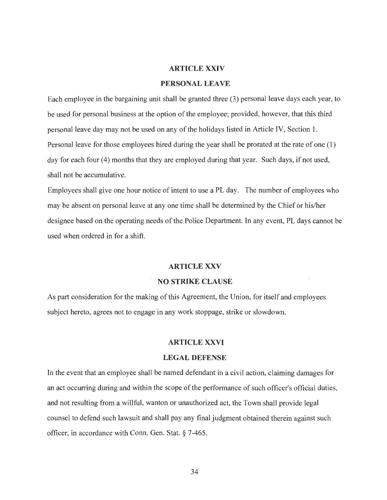### **ARTICLE XXIV**

# **PERSONAL LEAVE**

Each employee in the bargaining unit shall be granted three (3) personal leave days each year, to be used for personal business at the option of the employee; provided, however, that this third personal leave day may not be used on any of the holidays listed in Article IV, Section 1. Personal leave for those employees hired during the year shall be prorated at the rate of one (1) day for each four (4) months that they are employed during that year. Such days, if not used, shall not be accumulative.

Employees shall give one hour notice of intent to use a PL day. The number of employees who may be absent on personal leave at any one time shall be determined by the Chief or his/her designee based on the operating needs of the Police Department. In any event, PL days cannot be used when ordered in for a shift.

#### **ARTICLEXXV**

# **NO STRIKE CLAUSE**

As part consideration for the making of this Agreement, the Union, for itself and employees subject hereto, agrees not to engage in any work stoppage, strike or slowdown.

#### **ARTICLE XXVI**

#### **LEGAL DEFENSE**

In the event that an employee shall be named defendant in a civil action, claiming damages for an act occurring during and within the scope of the performance of such officer's official duties, and not resulting from a willful, wanton or unauthorized act, the Town shall provide legal counsel to defend such lawsuit and shall pay any final judgment obtained therein against such officer, in accordance with Conn. Gen. Stat. § 7-465.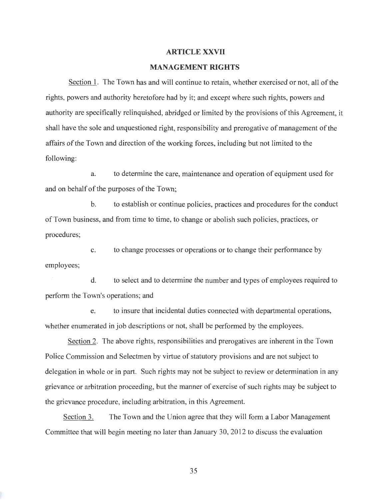#### **ARTICLE XXVII**

# **MANAGEMENT RIGHTS**

Section 1. The Town has and will continue to retain, whether exercised or not, all of the rights, powers and authority heretofore had by it; and except where such rights, powers and authority are specifically relinquished, abridged or limited by the provisions of this Agreement, it shall have the sole and unquestioned right, responsibility and prerogative of management of the affairs of the Town and direction of the working forces, including but not limited to the following:

a. to determine the care, maintenance and operation of equipment used for and on behalf of the purposes of the Town;

b. to establish or continue policies, practices and procedures for the conduct of Town business, and from time to time, to change or abolish such policies, practices, or procedures;

c. to change processes or operations or to change their performance by employees;

d. to select and to determine the number and types of employees required to perform the Town's operations; and

e. to insure that incidental duties connected with departmental operations, whether enumerated in job descriptions or not, shall be performed by the employees.

Section 2. The above rights, responsibilities and prerogatives are inherent in the Town Police Commission and Selectmen by virtue of statutory provisions and are not subject to delegation in whole or in part. Such rights may not be subject to review or determination in any grievance or arbitration proceeding, but the manner of exercise of such rights may be subject to the grievance procedure, including arbitration, in this Agreement.

Section 3. The Town and the Union agree that they will form a Labor Management Committee that will begin meeting no later than January 30, 2012 to discuss the evaluation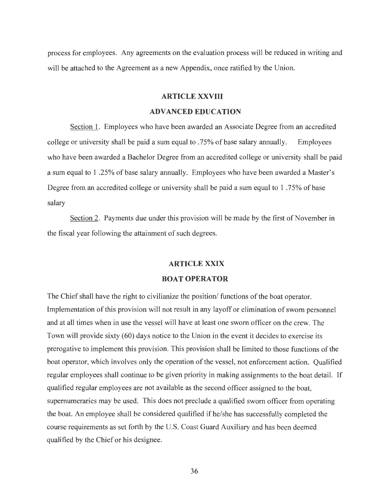process for employees. Any agreements on the evaluation process will be reduced in writing and will be attached to the Agreement as a new Appendix, once ratified by the Union.

# **ARTICLE XXVIII**

# **ADVANCED EDUCATION**

Section 1. Employees who have been awarded an Associate Degree from an accredited college or university shall be paid a sum equal to .75% of base salary annually. Employees who have been awarded a Bachelor Degree from an accredited college or university shall be paid a sum equal to 1 .25% of base salary annually. Employees who have been awarded a Master's Degree from an accredited college or university shall be paid a sum equal to 1 .75% of base salary

Section 2. Payments due under this provision will be made by the first of November in the fiscal year following the attainment of such degrees.

# **ARTICLE XXIX**

# **BOAT OPERATOR**

The Chief shall have the right to civilianize the position/ functions of the boat operator. Implementation of this provision will not result in any layoff or elimination of sworn personnel and at all times when in use the vessel will have at least one sworn officer on the crew. The Town will provide sixty (60) days notice to the Union in the event it decides to exercise its prerogative to implement this provision. This provision shall be limited to those functions of the boat operator, which involves only the operation of the vessel, not enforcement action. Qualified regular employees shall continue to be given priority in making assignments to the boat detail. If qualified regular employees are not available as the second officer assigned to the boat, supernumeraries may be used. This does not preclude a qualified sworn officer from operating the boat. An employee shall be considered qualified if he/she has successfully completed the course requirements as set forth by the U.S. Coast Guard Auxiliary and has been deemed qualified by the Chief or his designee.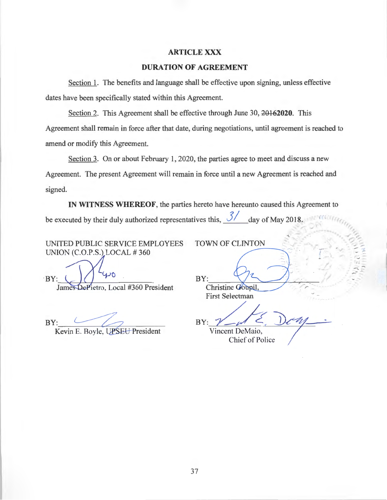# **ARTICLEXXX**

# **DURATION OF AGREEMENT**

Section 1. The benefits and language shall be effective upon signing, unless effective dates have been specifically stated within this Agreement.

Section 2. This Agreement shall be effective through June 30, 20162020. This Agreement shall remain in force after that date, during negotiations, until agreement is reached to amend or modify this Agreement.

Section 3. On or about February 1, 2020, the parties agree to meet and discuss a new Agreement. The present Agreement will remain in force until a new Agreement is reached and signed.

**IN WITNESS WHEREOF,** the parties hereto have hereunto caused this Agreement to be executed by their duly authorized representatives this,  $\frac{3}{ }$  day of May 2018.  $\sim$   $\frac{1}{2}$ 

UNITED PUBLIC SERVICE EMPLOYEES UNION (C.O.P.S.) LOCAL # 360

**C**  BY:

James DePietro, Local #360 President

 $BY:$ 

Kevin E. Boyle, UPSEU President

TOWN OF CLINTON

 $\mathsf{BY}:$  obtained a point of  $\mathsf{B}$ Christine Goupil First Selectman

 $BY:$ 

 $\overline{E}$ 

<sup>~</sup>**~r** *r;,:,..*  /,..

 $\frac{1}{2}$ 

*r* .

✓ ,.,

/',,-

Vincent DeMaio, Chief of Police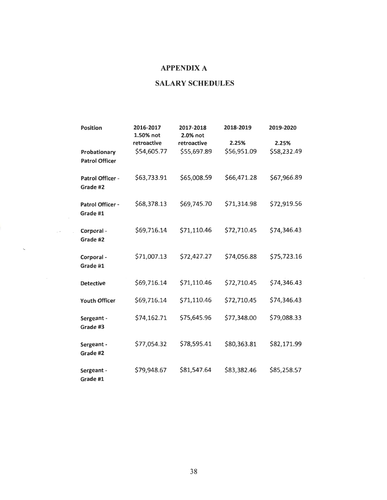# **APPENDIX A**

# **SALARY SCHEDULES**

| <b>Position</b>                       | 2016-2017<br>1.50% not     | 2017-2018<br>2.0% not      | 2018-2019            | 2019-2020            |
|---------------------------------------|----------------------------|----------------------------|----------------------|----------------------|
| Probationary<br><b>Patrol Officer</b> | retroactive<br>\$54,605.77 | retroactive<br>\$55,697.89 | 2.25%<br>\$56,951.09 | 2.25%<br>\$58,232.49 |
| Patrol Officer -<br>Grade #2          | \$63,733.91                | \$65,008.59                | \$66,471.28          | \$67,966.89          |
| Patrol Officer -<br>Grade #1          | \$68,378.13                | \$69,745.70                | \$71,314.98          | \$72,919.56          |
| Corporal -<br>Grade #2                | \$69,716.14                | \$71,110.46                | \$72,710.45          | \$74,346.43          |
| Corporal -<br>Grade #1                | \$71,007.13                | \$72,427.27                | \$74,056.88          | \$75,723.16          |
| <b>Detective</b>                      | \$69,716.14                | \$71,110.46                | \$72,710.45          | \$74,346.43          |
| <b>Youth Officer</b>                  | \$69,716.14                | \$71,110.46                | \$72,710.45          | \$74,346.43          |
| Sergeant -<br>Grade #3                | \$74,162.71                | \$75,645.96                | \$77,348.00          | \$79,088.33          |
| Sergeant -<br>Grade #2                | \$77,054.32                | \$78,595.41                | \$80,363.81          | \$82,171.99          |
| Sergeant -<br>Grade #1                | \$79,948.67                | \$81,547.64                | \$83,382.46          | \$85,258.57          |

 $\sim$   $-$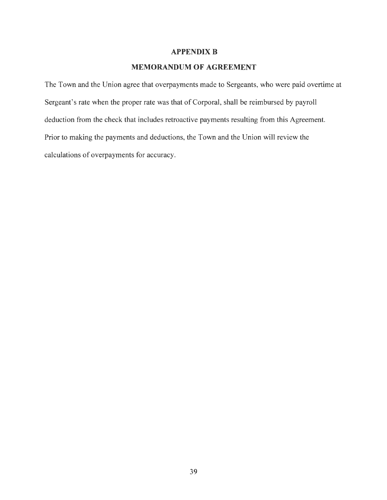# **APPENDIX B**

# **MEMORANDUM OF AGREEMENT**

The Town and the Union agree that overpayments made to Sergeants, who were paid overtime at Sergeant's rate when the proper rate was that of Corporal, shall be reimbursed by payroll deduction from the check that includes retroactive payments resulting from this Agreement. Prior to making the payments and deductions, the Town and the Union will review the calculations of overpayments for accuracy.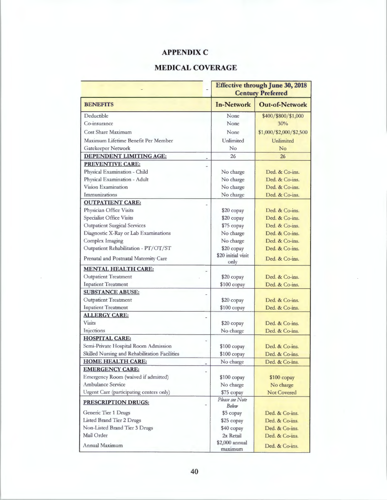# **APPENDIX C**

# **MEDICAL COVERAGE**

|                                               | <b>Effective through June 30, 2018</b><br><b>Century Preferred</b> |                         |  |
|-----------------------------------------------|--------------------------------------------------------------------|-------------------------|--|
| <b>BENEFITS</b>                               | <b>In-Network</b>                                                  | <b>Out-of-Network</b>   |  |
| Deductible                                    | None                                                               | \$400/\$800/\$1,000     |  |
| Co-insurance                                  | None                                                               | 30%                     |  |
| <b>Cost Share Maximum</b>                     | None                                                               | \$1,000/\$2,000/\$2,500 |  |
| Maximum Lifetime Benefit Per Member           | Unlimited                                                          | Unlimited               |  |
| Gatekeeper Network                            | No                                                                 | No                      |  |
| <b>DEPENDENT LIMITING AGE:</b>                | 26                                                                 | 26                      |  |
| <b>PREVENTIVE CARE:</b>                       |                                                                    |                         |  |
| Physical Examination - Child                  | No charge                                                          | Ded. & Co-ins.          |  |
| Physical Examination - Adult                  | No charge                                                          | Ded. & Co-ins.          |  |
| Vision Examination                            | No charge                                                          | Ded. & Co-ins.          |  |
| Immunizations                                 | No charge                                                          | Ded. & Co-ins.          |  |
| <b>OUTPATIENT CARE:</b>                       |                                                                    |                         |  |
| Physician Office Visits                       | \$20 copay                                                         | Ded. & Co-ins.          |  |
| <b>Specialist Office Visits</b>               | \$20 copay                                                         | Ded. & Co-ins.          |  |
| <b>Outpatient Surgical Services</b>           | \$75 copay                                                         | Ded. & Co-ins.          |  |
| Diagnostic X-Ray or Lab Examinations          | No charge                                                          | Ded. & Co-ins.          |  |
| <b>Complex Imaging</b>                        | No charge                                                          | Ded. & Co-ins.          |  |
| Outpatient Rehabilitation - PT/OT/ST          | \$20 copay                                                         | Ded. & Co-ins.          |  |
| Prenatal and Postnatal Maternity Care         | \$20 initial visit<br>only                                         | Ded. & Co-ins.          |  |
| <b>MENTAL HEALTH CARE:</b>                    |                                                                    |                         |  |
| <b>Outpatient Treatment</b>                   | \$20 copay                                                         | Ded. & Co-ins.          |  |
| <b>Inpatient Treatment</b>                    | \$100 copay                                                        | Ded. & Co-ins.          |  |
| <b>SUBSTANCE ABUSE:</b>                       |                                                                    |                         |  |
| <b>Outpatient Treatment</b>                   | \$20 copay                                                         | Ded. & Co-ins.          |  |
| <b>Inpatient Treatment</b>                    | \$100 copay                                                        | Ded. & Co-ins.          |  |
| <b>ALLERGY CARE:</b>                          |                                                                    |                         |  |
| <b>Visits</b>                                 | \$20 copay                                                         | Ded. & Co-ins.          |  |
| Injections                                    | No charge                                                          | Ded. & Co-ins.          |  |
| <b>HOSPITAL CARE:</b>                         |                                                                    |                         |  |
| Semi-Private Hospital Room Admission          | \$100 copay                                                        | Ded. & Co-ins.          |  |
| Skilled Nursing and Rehabilitation Facilities | $$100$ copay                                                       | Ded. & Co-ins.          |  |
| <b>HOME HEALTH CARE:</b>                      | No charge                                                          | Ded. & Co-ins.          |  |
| <b>EMERGENCY CARE:</b>                        |                                                                    |                         |  |
| Emergency Room (waived if admitted)           | $$100$ copay                                                       | $$100$ copay            |  |
| <b>Ambulance Service</b>                      | No charge                                                          | No charge               |  |
| Urgent Care (participating centers only)      | \$75 copay                                                         | Not Covered             |  |
| <b>PRESCRIPTION DRUGS:</b>                    | Please see Note<br>Below                                           |                         |  |
| Generic Tier 1 Drugs                          | \$5 copay                                                          | Ded. & Co-ins.          |  |
| <b>Listed Brand Tier 2 Drugs</b>              | \$25 copay                                                         | Ded. & Co-ins.          |  |
| Non-Listed Brand Tier 3 Drugs                 | \$40 copay                                                         | Ded. & Co-ins.          |  |
| Mail Order                                    | 2x Retail                                                          | Ded. & Co-ins.          |  |
| Annual Maximum                                | \$2,000 annual<br>maximum                                          | Ded. & Co-ins.          |  |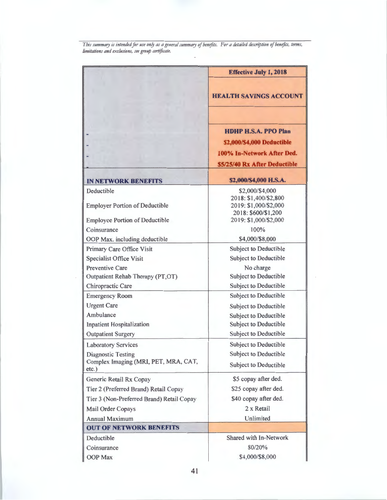*This s11mmary is intended far 11se onfy as a gmeral s11mmary of benefits. For a detailed description of benefits, terms, limitations and exc/11sio11s, see gro11p certificate.* 

|                                                          | <b>Effective July 1, 2018</b>                                                                                            |
|----------------------------------------------------------|--------------------------------------------------------------------------------------------------------------------------|
|                                                          | <b>HEALTH SAVINGS ACCOUNT</b>                                                                                            |
|                                                          | <b>HDHP H.S.A. PPO Plan</b><br>\$2,000/\$4,000 Deductible<br>100% In-Network After Ded.<br>\$5/25/40 Rx After Deductible |
| <b>IN NETWORK BENEFITS</b>                               | \$2,000/\$4,000 H.S.A.                                                                                                   |
| Deductible<br><b>Employer Portion of Deductible</b>      | \$2,000/\$4,000<br>2018: \$1,400/\$2,800<br>2019: \$1,000/\$2,000<br>2018: \$600/\$1,200                                 |
| <b>Employee Portion of Deductible</b>                    | 2019: \$1,000/\$2,000                                                                                                    |
| Coinsurance                                              | 100%                                                                                                                     |
| OOP Max. including deductible                            | \$4,000/\$8,000<br><b>Subject to Deductible</b>                                                                          |
| Primary Care Office Visit                                | <b>Subject to Deductible</b>                                                                                             |
| <b>Specialist Office Visit</b><br><b>Preventive Care</b> | No charge                                                                                                                |
| Outpatient Rehab Therapy (PT,OT)                         | <b>Subject to Deductible</b>                                                                                             |
| Chiropractic Care                                        | <b>Subject to Deductible</b>                                                                                             |
| <b>Emergency Room</b>                                    | <b>Subject to Deductible</b>                                                                                             |
| <b>Urgent Care</b>                                       | <b>Subject to Deductible</b>                                                                                             |
| Ambulance                                                | <b>Subject to Deductible</b>                                                                                             |
| <b>Inpatient Hospitalization</b>                         | <b>Subject to Deductible</b>                                                                                             |
| <b>Outpatient Surgery</b>                                | Subject to Deductible                                                                                                    |
| <b>Laboratory Services</b>                               | Subject to Deductible                                                                                                    |
| <b>Diagnostic Testing</b>                                | <b>Subject to Deductible</b>                                                                                             |
| Complex Imaging (MRI, PET, MRA, CAT,<br>$etc.$ )         | <b>Subject to Deductible</b>                                                                                             |
| Generic Retail Rx Copay                                  | \$5 copay after ded.                                                                                                     |
| Tier 2 (Preferred Brand) Retail Copay                    | \$25 copay after ded.                                                                                                    |
| Tier 3 (Non-Preferred Brand) Retail Copay                | \$40 copay after ded.                                                                                                    |
| Mail Order Copays                                        | 2 x Retail                                                                                                               |
| <b>Annual Maximum</b>                                    | Unlimited                                                                                                                |
| <b>OUT OF NETWORK BENEFITS</b>                           |                                                                                                                          |
| Deductible                                               | Shared with In-Network                                                                                                   |
| Coinsurance                                              | 80/20%                                                                                                                   |
| OOP Max                                                  | \$4,000/\$8,000                                                                                                          |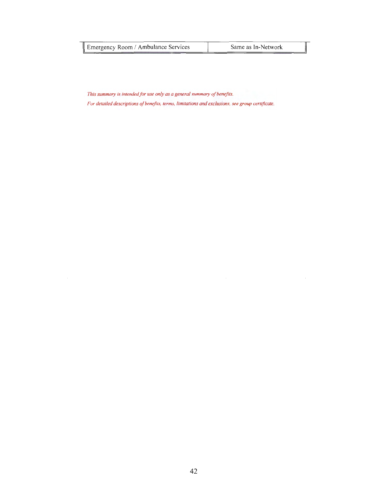| Emergency Room / Ambulance Services |  | Same as In-Network |  |
|-------------------------------------|--|--------------------|--|
|                                     |  |                    |  |

*This summary is intended for use only as a general summary of benefits.* 

*For detailed descriptions of benefits, terms, limitations and exclusions, see group certificate.*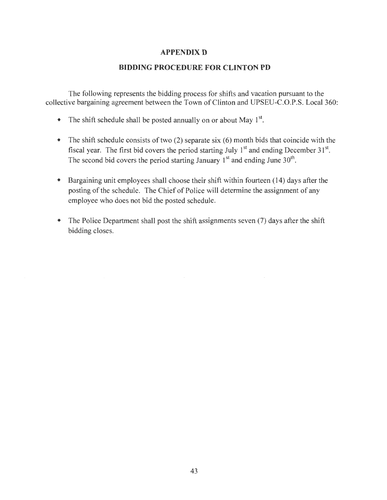# **APPENDIX D**

# **BIDDING PROCEDURE FOR CLINTON PD**

The following represents the bidding process for shifts and vacation pursuant to the collective bargaining agreement between the Town of Clinton and UPSEU-C.O.P.S. Local 360:

- The shift schedule shall be posted annually on or about May  $1^{st}$ .
- The shift schedule consists of two (2) separate six (6) month bids that coincide with the fiscal year. The first bid covers the period starting July  $1<sup>st</sup>$  and ending December 31 $<sup>st</sup>$ .</sup> The second bid covers the period starting January  $1<sup>st</sup>$  and ending June  $30<sup>th</sup>$ .
- Bargaining unit employees shall choose their shift within fourteen (14) days after the posting of the schedule. The Chief of Police will determine the assignment of any employee who does not bid the posted schedule.
- The Police Department shall post the shift assignments seven (7) days after the shift bidding closes.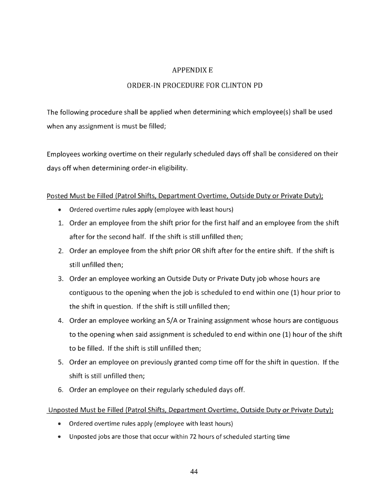# APPENDIX E

# ORDER-IN PROCEDURE FOR CLINTON PD

The following procedure shall be applied when determining which employee(s) shall be used when any assignment is must be filled;

Employees working overtime on their regularly scheduled days off shall be considered on their days off when determining order-in eligibility.

# Posted Must be Filled (Patrol Shifts, Department Overtime, Outside Duty or Private Duty);

- Ordered overtime rules apply (employee with least hours)
- 1. Order an employee from the shift prior for the first half and an employee from the shift after for the second half. If the shift is still unfilled then;
- 2. Order an employee from the shift prior OR shift after for the entire shift. If the shift is still unfilled then;
- 3. Order an employee working an Outside Duty or Private Duty job whose hours are contiguous to the opening when the job is scheduled to end within one (1) hour prior to the shift in question. If the shift is still unfilled then;
- 4. Order an employee working an S/A or Training assignment whose hours are contiguous to the opening when said assignment is scheduled to end within one (1) hour ofthe shift to be filled. If the shift is still unfilled then:
- 5. Order an employee on previously granted comp time off for the shift in question. If the shift is still unfilled then;
- 6. Order an employee on their regularly scheduled days off.

# Unpasted Must be Filled (Patrol Shifts, Department Overtime, Outside Duty or Private Duty);

- Ordered overtime rules apply (employee with least hours)
- Unposted jobs are those that occur within 72 hours of scheduled starting time